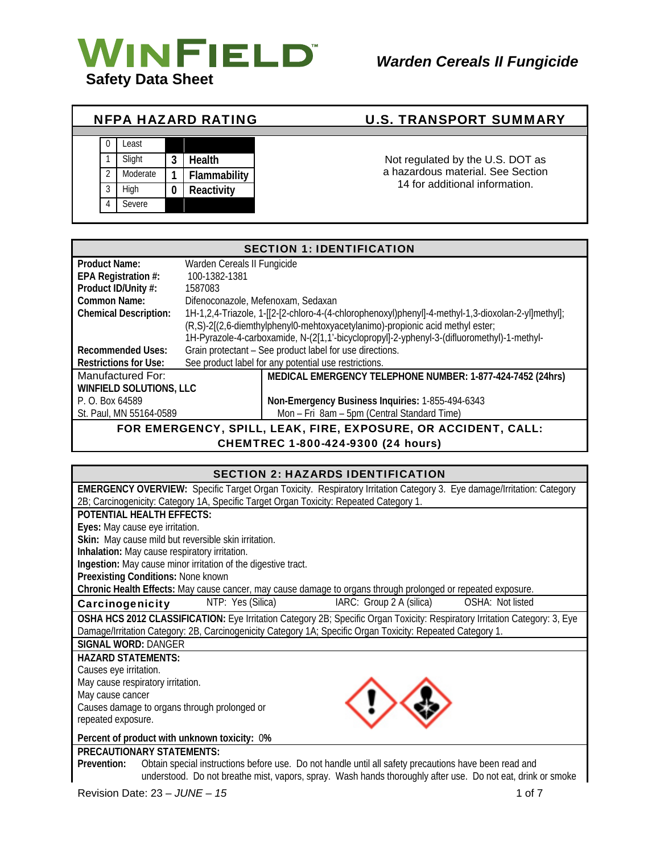

| 0              | Least    |   |              |
|----------------|----------|---|--------------|
|                | Slight   | 3 | Health       |
| $\overline{2}$ | Moderate |   | Flammability |
| 3              | High     | 0 | Reactivity   |
|                | Severe   |   |              |

## NFPA HAZARD RATING U.S. TRANSPORT SUMMARY

Not regulated by the U.S. DOT as a hazardous material. See Section 14 for additional information.

| <b>SECTION 1: IDENTIFICATION</b>                               |                                    |                                                                                                    |  |
|----------------------------------------------------------------|------------------------------------|----------------------------------------------------------------------------------------------------|--|
| Product Name:                                                  | Warden Cereals II Fungicide        |                                                                                                    |  |
| EPA Registration #:                                            | 100-1382-1381                      |                                                                                                    |  |
| Product ID/Unity #:                                            | 1587083                            |                                                                                                    |  |
| <b>Common Name:</b>                                            | Difenoconazole, Mefenoxam, Sedaxan |                                                                                                    |  |
| <b>Chemical Description:</b>                                   |                                    | 1H-1,2,4-Triazole, 1-[[2-[2-chloro-4-(4-chlorophenoxyl)phenyl]-4-methyl-1,3-dioxolan-2-yl]methyl]; |  |
|                                                                |                                    | (R,S)-2[(2,6-diemthylphenyl0-mehtoxyacetylanimo)-propionic acid methyl ester;                      |  |
|                                                                |                                    | 1H-Pyrazole-4-carboxamide, N-(2[1,1'-bicyclopropyl]-2-yphenyl-3-(difluoromethyl)-1-methyl-         |  |
| <b>Recommended Uses:</b>                                       |                                    | Grain protectant - See product label for use directions.                                           |  |
| <b>Restrictions for Use:</b>                                   |                                    | See product label for any potential use restrictions.                                              |  |
| Manufactured For:                                              |                                    | MEDICAL EMERGENCY TELEPHONE NUMBER: 1-877-424-7452 (24hrs)                                         |  |
| <b>WINFIELD SOLUTIONS, LLC</b>                                 |                                    |                                                                                                    |  |
| P. O. Box 64589                                                |                                    | Non-Emergency Business Inquiries: 1-855-494-6343                                                   |  |
| St. Paul, MN 55164-0589                                        |                                    | Mon - Fri 8am - 5pm (Central Standard Time)                                                        |  |
| FOR EMERGENCY, SPILL, LEAK, FIRE, EXPOSURE, OR ACCIDENT, CALL: |                                    |                                                                                                    |  |

CHEMTREC 1-800-424-9300 (24 hours)

### SECTION 2: HAZARDS IDENTIFICATION

| EMERGENCY OVERVIEW: Specific Target Organ Toxicity. Respiratory Irritation Category 3. Eye damage/Irritation: Category     |
|----------------------------------------------------------------------------------------------------------------------------|
| 2B; Carcinogenicity: Category 1A, Specific Target Organ Toxicity: Repeated Category 1.                                     |
| <b>POTENTIAL HEALTH EFFECTS:</b>                                                                                           |
| Eyes: May cause eye irritation.                                                                                            |
| Skin: May cause mild but reversible skin irritation.                                                                       |
| Inhalation: May cause respiratory irritation.                                                                              |
| Ingestion: May cause minor irritation of the digestive tract.                                                              |
| Preexisting Conditions: None known                                                                                         |
| Chronic Health Effects: May cause cancer, may cause damage to organs through prolonged or repeated exposure.               |
| NTP: Yes (Silica)<br>IARC: Group 2 A (silica)<br>OSHA: Not listed<br>Carcinogenicity                                       |
| OSHA HCS 2012 CLASSIFICATION: Eye Irritation Category 2B; Specific Organ Toxicity: Respiratory Irritation Category: 3, Eye |
| Damage/Irritation Category: 2B, Carcinogenicity Category 1A; Specific Organ Toxicity: Repeated Category 1.                 |
| <b>SIGNAL WORD: DANGER</b>                                                                                                 |
| <b>HAZARD STATEMENTS:</b>                                                                                                  |
| Causes eye irritation.                                                                                                     |
| May cause respiratory irritation.                                                                                          |
| May cause cancer                                                                                                           |
| Causes damage to organs through prolonged or                                                                               |
| repeated exposure.                                                                                                         |
| Percent of product with unknown toxicity: 0%                                                                               |
| <b>PRECAUTIONARY STATEMENTS:</b>                                                                                           |
| Obtain special instructions before use. Do not handle until all safety precautions have been read and<br>Prevention:       |
| understood. Do not breathe mist, vapors, spray. Wash hands thoroughly after use. Do not eat, drink or smoke                |
|                                                                                                                            |

Revision Date: 23 *– JUNE – 15* 1 of 7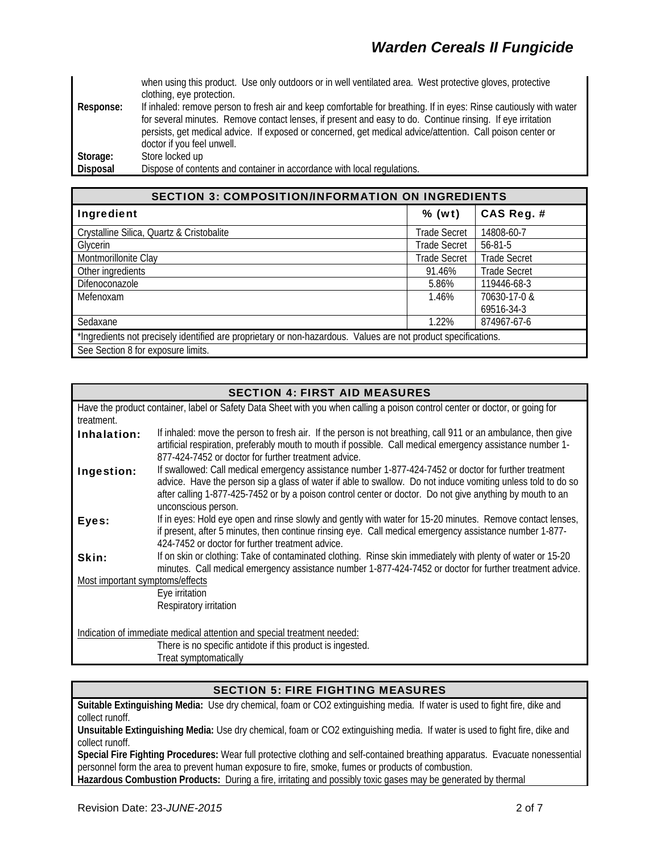when using this product. Use only outdoors or in well ventilated area. West protective gloves, protective clothing, eye protection. **Response:** If inhaled: remove person to fresh air and keep comfortable for breathing. If in eyes: Rinse cautiously with water for several minutes. Remove contact lenses, if present and easy to do. Continue rinsing. If eye irritation persists, get medical advice. If exposed or concerned, get medical advice/attention. Call poison center or doctor if you feel unwell. **Storage:** Store locked up **Disposal** Dispose of contents and container in accordance with local regulations.

| <b>SECTION 3: COMPOSITION/INFORMATION ON INGREDIENTS</b>                                                       |                     |                     |  |
|----------------------------------------------------------------------------------------------------------------|---------------------|---------------------|--|
| Ingredient                                                                                                     | $%$ (wt)            | CAS Reg. #          |  |
| Crystalline Silica, Quartz & Cristobalite                                                                      | <b>Trade Secret</b> | 14808-60-7          |  |
| Glycerin                                                                                                       | <b>Trade Secret</b> | 56-81-5             |  |
| Montmorillonite Clay                                                                                           | <b>Trade Secret</b> | <b>Trade Secret</b> |  |
| Other ingredients                                                                                              | 91.46%              | <b>Trade Secret</b> |  |
| Difenoconazole                                                                                                 | 5.86%               | 119446-68-3         |  |
| Mefenoxam                                                                                                      | 1.46%               | 70630-17-0 &        |  |
|                                                                                                                |                     | 69516-34-3          |  |
| Sedaxane                                                                                                       | 1.22%               | 874967-67-6         |  |
| *Ingredients not precisely identified are proprietary or non-hazardous. Values are not product specifications. |                     |                     |  |
| See Section 8 for exposure limits.                                                                             |                     |                     |  |

|                                                                                                                              | <b>SECTION 4: FIRST AID MEASURES</b>                                                                                                                                                                                                                                                                                               |  |  |
|------------------------------------------------------------------------------------------------------------------------------|------------------------------------------------------------------------------------------------------------------------------------------------------------------------------------------------------------------------------------------------------------------------------------------------------------------------------------|--|--|
| Have the product container, label or Safety Data Sheet with you when calling a poison control center or doctor, or going for |                                                                                                                                                                                                                                                                                                                                    |  |  |
| treatment.                                                                                                                   |                                                                                                                                                                                                                                                                                                                                    |  |  |
| Inhalation:                                                                                                                  | If inhaled: move the person to fresh air. If the person is not breathing, call 911 or an ambulance, then give<br>artificial respiration, preferably mouth to mouth if possible. Call medical emergency assistance number 1-                                                                                                        |  |  |
|                                                                                                                              | 877-424-7452 or doctor for further treatment advice.                                                                                                                                                                                                                                                                               |  |  |
| Ingestion:                                                                                                                   | If swallowed: Call medical emergency assistance number 1-877-424-7452 or doctor for further treatment<br>advice. Have the person sip a glass of water if able to swallow. Do not induce vomiting unless told to do so<br>after calling 1-877-425-7452 or by a poison control center or doctor. Do not give anything by mouth to an |  |  |
|                                                                                                                              | unconscious person.                                                                                                                                                                                                                                                                                                                |  |  |
| Eyes:                                                                                                                        | If in eyes: Hold eye open and rinse slowly and gently with water for 15-20 minutes. Remove contact lenses,<br>if present, after 5 minutes, then continue rinsing eye. Call medical emergency assistance number 1-877-<br>424-7452 or doctor for further treatment advice.                                                          |  |  |
| Skin:                                                                                                                        | If on skin or clothing: Take of contaminated clothing. Rinse skin immediately with plenty of water or 15-20                                                                                                                                                                                                                        |  |  |
|                                                                                                                              | minutes. Call medical emergency assistance number 1-877-424-7452 or doctor for further treatment advice.                                                                                                                                                                                                                           |  |  |
| Most important symptoms/effects                                                                                              |                                                                                                                                                                                                                                                                                                                                    |  |  |
|                                                                                                                              | Eye irritation                                                                                                                                                                                                                                                                                                                     |  |  |
|                                                                                                                              | Respiratory irritation                                                                                                                                                                                                                                                                                                             |  |  |
|                                                                                                                              |                                                                                                                                                                                                                                                                                                                                    |  |  |
|                                                                                                                              | Indication of immediate medical attention and special treatment needed:                                                                                                                                                                                                                                                            |  |  |
|                                                                                                                              | There is no specific antidote if this product is ingested.                                                                                                                                                                                                                                                                         |  |  |
|                                                                                                                              | Treat symptomatically                                                                                                                                                                                                                                                                                                              |  |  |

### SECTION 5: FIRE FIGHTING MEASURES

**Suitable Extinguishing Media:** Use dry chemical, foam or CO2 extinguishing media. If water is used to fight fire, dike and collect runoff.

**Unsuitable Extinguishing Media:** Use dry chemical, foam or CO2 extinguishing media. If water is used to fight fire, dike and collect runoff.

**Special Fire Fighting Procedures:** Wear full protective clothing and self-contained breathing apparatus. Evacuate nonessential personnel form the area to prevent human exposure to fire, smoke, fumes or products of combustion. **Hazardous Combustion Products:** During a fire, irritating and possibly toxic gases may be generated by thermal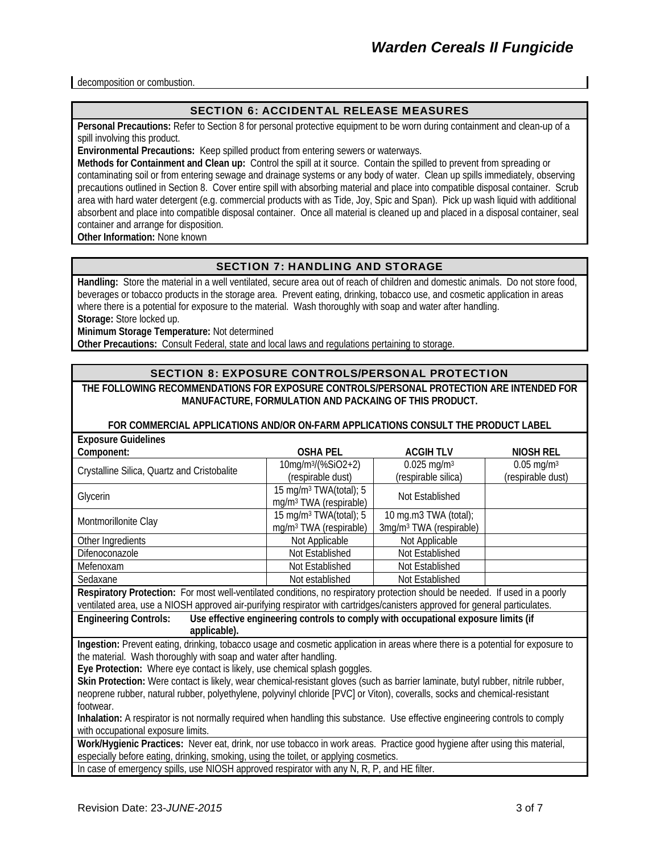decomposition or combustion.

#### SECTION 6: ACCIDENTAL RELEASE MEASURES

**Personal Precautions:** Refer to Section 8 for personal protective equipment to be worn during containment and clean-up of a spill involving this product.

**Environmental Precautions:** Keep spilled product from entering sewers or waterways.

**Methods for Containment and Clean up:** Control the spill at it source. Contain the spilled to prevent from spreading or contaminating soil or from entering sewage and drainage systems or any body of water. Clean up spills immediately, observing precautions outlined in Section 8. Cover entire spill with absorbing material and place into compatible disposal container. Scrub area with hard water detergent (e.g. commercial products with as Tide, Joy, Spic and Span). Pick up wash liquid with additional absorbent and place into compatible disposal container. Once all material is cleaned up and placed in a disposal container, seal container and arrange for disposition.

**Other Information:** None known

### SECTION 7: HANDLING AND STORAGE

**Handling:** Store the material in a well ventilated, secure area out of reach of children and domestic animals. Do not store food, beverages or tobacco products in the storage area. Prevent eating, drinking, tobacco use, and cosmetic application in areas where there is a potential for exposure to the material. Wash thoroughly with soap and water after handling. **Storage:** Store locked up.

**Minimum Storage Temperature:** Not determined

**Other Precautions:** Consult Federal, state and local laws and regulations pertaining to storage.

#### SECTION 8: EXPOSURE CONTROLS/PERSONAL PROTECTION

#### **THE FOLLOWING RECOMMENDATIONS FOR EXPOSURE CONTROLS/PERSONAL PROTECTION ARE INTENDED FOR MANUFACTURE, FORMULATION AND PACKAING OF THIS PRODUCT.**

#### **FOR COMMERCIAL APPLICATIONS AND/OR ON-FARM APPLICATIONS CONSULT THE PRODUCT LABEL**

| <b>Exposure Guidelines</b>                                                                                                       |                                    |                                     |                          |  |
|----------------------------------------------------------------------------------------------------------------------------------|------------------------------------|-------------------------------------|--------------------------|--|
| Component:                                                                                                                       | <b>OSHA PEL</b>                    | <b>ACGIHTLV</b>                     | NIOSH REL                |  |
| Crystalline Silica, Quartz and Cristobalite                                                                                      | 10mg/m <sup>3</sup> /(%SiO2+2)     | $0.025$ mg/m <sup>3</sup>           | $0.05$ mg/m <sup>3</sup> |  |
|                                                                                                                                  | (respirable dust)                  | (respirable silica)                 | (respirable dust)        |  |
| Glycerin                                                                                                                         | 15 mg/m <sup>3</sup> TWA(total); 5 | Not Established                     |                          |  |
|                                                                                                                                  | mg/m <sup>3</sup> TWA (respirable) |                                     |                          |  |
| Montmorillonite Clay                                                                                                             | 15 mg/m <sup>3</sup> TWA(total); 5 | 10 mg.m3 TWA (total);               |                          |  |
|                                                                                                                                  | mg/m <sup>3</sup> TWA (respirable) | 3mg/m <sup>3</sup> TWA (respirable) |                          |  |
| Other Ingredients                                                                                                                | Not Applicable                     | Not Applicable                      |                          |  |
| Difenoconazole                                                                                                                   | Not Established                    | Not Established                     |                          |  |
| Mefenoxam                                                                                                                        | Not Established                    | Not Established                     |                          |  |
| Sedaxane                                                                                                                         | Not established                    | Not Established                     |                          |  |
| Respiratory Protection: For most well-ventilated conditions, no respiratory protection should be needed. If used in a poorly     |                                    |                                     |                          |  |
| ventilated area, use a NIOSH approved air-purifying respirator with cartridges/canisters approved for general particulates.      |                                    |                                     |                          |  |
| <b>Engineering Controls:</b><br>Use effective engineering controls to comply with occupational exposure limits (if               |                                    |                                     |                          |  |
| applicable).                                                                                                                     |                                    |                                     |                          |  |
| Ingestion: Prevent eating, drinking, tobacco usage and cosmetic application in areas where there is a potential for exposure to  |                                    |                                     |                          |  |
| the material. Wash thoroughly with soap and water after handling.                                                                |                                    |                                     |                          |  |
| Eye Protection: Where eye contact is likely, use chemical splash goggles.                                                        |                                    |                                     |                          |  |
| Skin Protection: Were contact is likely, wear chemical-resistant gloves (such as barrier laminate, butyl rubber, nitrile rubber, |                                    |                                     |                          |  |
| neoprene rubber, natural rubber, polyethylene, polyvinyl chloride [PVC] or Viton), coveralls, socks and chemical-resistant       |                                    |                                     |                          |  |
| footwear.                                                                                                                        |                                    |                                     |                          |  |
| Inhalation: A respirator is not normally required when handling this substance. Use effective engineering controls to comply     |                                    |                                     |                          |  |
| with occupational exposure limits.                                                                                               |                                    |                                     |                          |  |
| Work/Hygienic Practices: Never eat, drink, nor use tobacco in work areas. Practice good hygiene after using this material,       |                                    |                                     |                          |  |
| especially before eating, drinking, smoking, using the toilet, or applying cosmetics.                                            |                                    |                                     |                          |  |

In case of emergency spills, use NIOSH approved respirator with any N, R, P, and HE filter.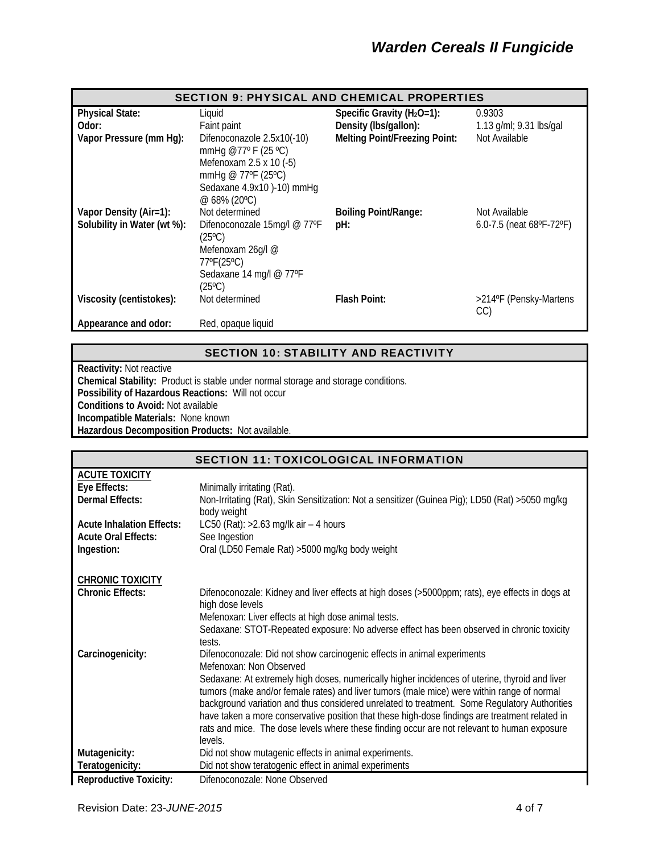| <b>SECTION 9: PHYSICAL AND CHEMICAL PROPERTIES</b> |                                                                                                                                                  |                                      |                                             |
|----------------------------------------------------|--------------------------------------------------------------------------------------------------------------------------------------------------|--------------------------------------|---------------------------------------------|
| <b>Physical State:</b>                             | Liquid                                                                                                                                           | Specific Gravity $(H_2O=1)$ :        | 0.9303                                      |
| Odor:                                              | Faint paint                                                                                                                                      | Density (Ibs/gallon):                | 1.13 g/ml; 9.31 lbs/gal                     |
| Vapor Pressure (mm Hg):                            | Difenoconazole 2.5x10(-10)<br>mmHg @77° F (25 °C)<br>Mefenoxam 2.5 x 10 (-5)<br>mmHg @ 77°F (25°C)<br>Sedaxane 4.9x10 )-10) mmHg<br>@ 68% (20°C) | <b>Melting Point/Freezing Point:</b> | Not Available                               |
| Vapor Density (Air=1):                             | Not determined                                                                                                                                   | <b>Boiling Point/Range:</b>          | Not Available                               |
| Solubility in Water (wt %):                        | Difenoconozale 15mg/l @ 77°F<br>$(25^{\circ}C)$<br>Mefenoxam 26g/l @<br>77°F(25°C)<br>Sedaxane 14 mg/l @ 77°F<br>$(25^{\circ}C)$                 | pH:                                  | 6.0-7.5 (neat $68^{\circ}F - 72^{\circ}F$ ) |
| Viscosity (centistokes):                           | Not determined                                                                                                                                   | <b>Flash Point:</b>                  | >214°F (Pensky-Martens<br>CC)               |
| Appearance and odor:                               | Red, opaque liquid                                                                                                                               |                                      |                                             |

### SECTION 10: STABILITY AND REACTIVITY

**Reactivity:** Not reactive

**Chemical Stability:** Product is stable under normal storage and storage conditions. **Possibility of Hazardous Reactions:** Will not occur

**Conditions to Avoid:** Not available

**Incompatible Materials:** None known

**Hazardous Decomposition Products:** Not available.

| <b>SECTION 11: TOXICOLOGICAL INFORMATION</b> |                                                                                                                     |  |
|----------------------------------------------|---------------------------------------------------------------------------------------------------------------------|--|
| <b>ACUTE TOXICITY</b>                        |                                                                                                                     |  |
| Eye Effects:                                 | Minimally irritating (Rat).                                                                                         |  |
| Dermal Effects:                              | Non-Irritating (Rat), Skin Sensitization: Not a sensitizer (Guinea Pig); LD50 (Rat) >5050 mg/kg                     |  |
|                                              | body weight                                                                                                         |  |
| <b>Acute Inhalation Effects:</b>             | LC50 (Rat): $>2.63$ mg/lk air - 4 hours                                                                             |  |
| <b>Acute Oral Effects:</b>                   | See Ingestion                                                                                                       |  |
| Ingestion:                                   | Oral (LD50 Female Rat) > 5000 mg/kg body weight                                                                     |  |
|                                              |                                                                                                                     |  |
| <b>CHRONIC TOXICITY</b>                      |                                                                                                                     |  |
| <b>Chronic Effects:</b>                      | Difenoconozale: Kidney and liver effects at high doses (>5000ppm; rats), eye effects in dogs at<br>high dose levels |  |
|                                              | Mefenoxan: Liver effects at high dose animal tests.                                                                 |  |
|                                              | Sedaxane: STOT-Repeated exposure: No adverse effect has been observed in chronic toxicity<br>tests.                 |  |
| Carcinogenicity:                             | Difenoconozale: Did not show carcinogenic effects in animal experiments<br>Mefenoxan: Non Observed                  |  |
|                                              | Sedaxane: At extremely high doses, numerically higher incidences of uterine, thyroid and liver                      |  |
|                                              | tumors (make and/or female rates) and liver tumors (male mice) were within range of normal                          |  |
|                                              | background variation and thus considered unrelated to treatment. Some Regulatory Authorities                        |  |
|                                              | have taken a more conservative position that these high-dose findings are treatment related in                      |  |
|                                              | rats and mice. The dose levels where these finding occur are not relevant to human exposure                         |  |
|                                              | levels.                                                                                                             |  |
| Mutagenicity:                                | Did not show mutagenic effects in animal experiments.                                                               |  |
| Teratogenicity:                              | Did not show teratogenic effect in animal experiments                                                               |  |
| <b>Reproductive Toxicity:</b>                | Difenoconozale: None Observed                                                                                       |  |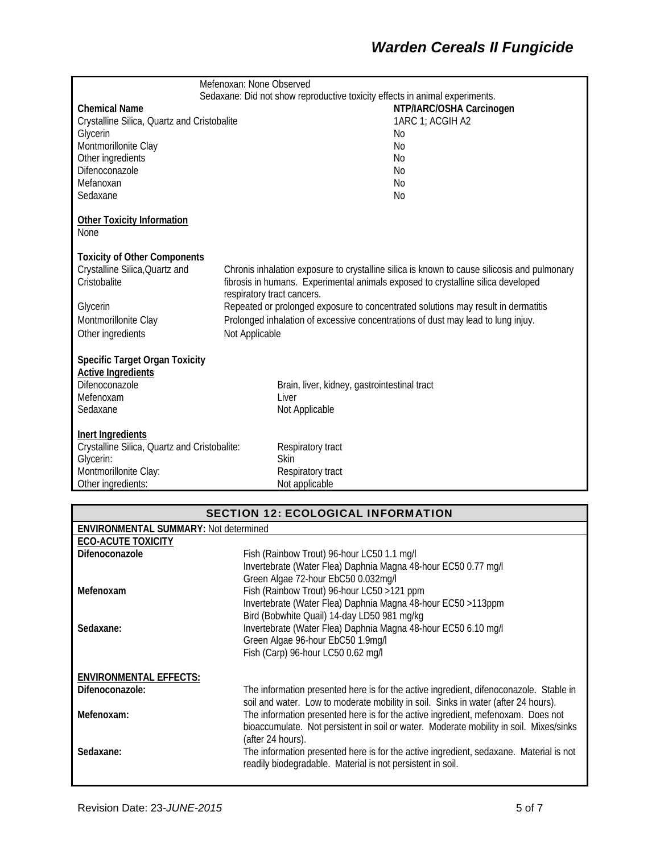# *Warden Cereals II Fungicide*

|                                                                       | Mefenoxan: None Observed   |                                                                                                                                                                                 |
|-----------------------------------------------------------------------|----------------------------|---------------------------------------------------------------------------------------------------------------------------------------------------------------------------------|
|                                                                       |                            | Sedaxane: Did not show reproductive toxicity effects in animal experiments.                                                                                                     |
| <b>Chemical Name</b>                                                  |                            | NTP/IARC/OSHA Carcinogen                                                                                                                                                        |
| Crystalline Silica, Quartz and Cristobalite                           |                            | 1ARC 1: ACGIH A2                                                                                                                                                                |
| Glycerin                                                              |                            | No                                                                                                                                                                              |
| Montmorillonite Clay                                                  |                            | N <sub>0</sub>                                                                                                                                                                  |
| Other ingredients                                                     |                            | No                                                                                                                                                                              |
| Difenoconazole                                                        |                            | N <sub>0</sub>                                                                                                                                                                  |
| Mefanoxan                                                             |                            | No                                                                                                                                                                              |
| Sedaxane                                                              |                            | No                                                                                                                                                                              |
| <b>Other Toxicity Information</b><br>None                             |                            |                                                                                                                                                                                 |
|                                                                       |                            |                                                                                                                                                                                 |
| <b>Toxicity of Other Components</b><br>Crystalline Silica, Quartz and |                            |                                                                                                                                                                                 |
| Cristobalite                                                          |                            | Chronis inhalation exposure to crystalline silica is known to cause silicosis and pulmonary<br>fibrosis in humans. Experimental animals exposed to crystalline silica developed |
|                                                                       | respiratory tract cancers. |                                                                                                                                                                                 |
| Glycerin                                                              |                            | Repeated or prolonged exposure to concentrated solutions may result in dermatitis                                                                                               |
| Montmorillonite Clay                                                  |                            | Prolonged inhalation of excessive concentrations of dust may lead to lung injuy.                                                                                                |
|                                                                       |                            |                                                                                                                                                                                 |
| Other ingredients                                                     | Not Applicable             |                                                                                                                                                                                 |
| <b>Specific Target Organ Toxicity</b>                                 |                            |                                                                                                                                                                                 |
| <b>Active Ingredients</b>                                             |                            |                                                                                                                                                                                 |
| Difenoconazole                                                        |                            | Brain, liver, kidney, gastrointestinal tract                                                                                                                                    |
| Mefenoxam                                                             |                            | Liver                                                                                                                                                                           |
| Sedaxane                                                              |                            | Not Applicable                                                                                                                                                                  |
| Inert Ingredients                                                     |                            |                                                                                                                                                                                 |
| Crystalline Silica, Quartz and Cristobalite:                          |                            | Respiratory tract                                                                                                                                                               |
| Glycerin:                                                             |                            | Skin                                                                                                                                                                            |
| Montmorillonite Clay:                                                 |                            | Respiratory tract                                                                                                                                                               |
| Other ingredients:                                                    |                            | Not applicable                                                                                                                                                                  |

| <b>SECTION 12: ECOLOGICAL INFORMATION</b>    |                                                                                                                                                      |  |
|----------------------------------------------|------------------------------------------------------------------------------------------------------------------------------------------------------|--|
| <b>ENVIRONMENTAL SUMMARY: Not determined</b> |                                                                                                                                                      |  |
| <b>ECO-ACUTE TOXICITY</b>                    |                                                                                                                                                      |  |
| Difenoconazole                               | Fish (Rainbow Trout) 96-hour LC50 1.1 mg/l                                                                                                           |  |
|                                              | Invertebrate (Water Flea) Daphnia Magna 48-hour EC50 0.77 mg/l                                                                                       |  |
| Mefenoxam                                    | Green Algae 72-hour EbC50 0.032mg/l<br>Fish (Rainbow Trout) 96-hour LC50 >121 ppm                                                                    |  |
|                                              | Invertebrate (Water Flea) Daphnia Magna 48-hour EC50 >113ppm                                                                                         |  |
|                                              | Bird (Bobwhite Quail) 14-day LD50 981 mg/kg                                                                                                          |  |
| Sedaxane:                                    | Invertebrate (Water Flea) Daphnia Magna 48-hour EC50 6.10 mg/l                                                                                       |  |
|                                              | Green Algae 96-hour EbC50 1.9mg/l                                                                                                                    |  |
|                                              | Fish (Carp) 96-hour LC50 0.62 mg/l                                                                                                                   |  |
| <b>ENVIRONMENTAL EFFECTS:</b>                |                                                                                                                                                      |  |
| Difenoconazole:                              | The information presented here is for the active ingredient, difenoconazole. Stable in                                                               |  |
|                                              | soil and water. Low to moderate mobility in soil. Sinks in water (after 24 hours).                                                                   |  |
| Mefenoxam:                                   | The information presented here is for the active ingredient, mefenoxam. Does not                                                                     |  |
|                                              | bioaccumulate. Not persistent in soil or water. Moderate mobility in soil. Mixes/sinks                                                               |  |
|                                              | (after 24 hours).                                                                                                                                    |  |
| Sedaxane:                                    | The information presented here is for the active ingredient, sedaxane. Material is not<br>readily biodegradable. Material is not persistent in soil. |  |
|                                              |                                                                                                                                                      |  |
|                                              |                                                                                                                                                      |  |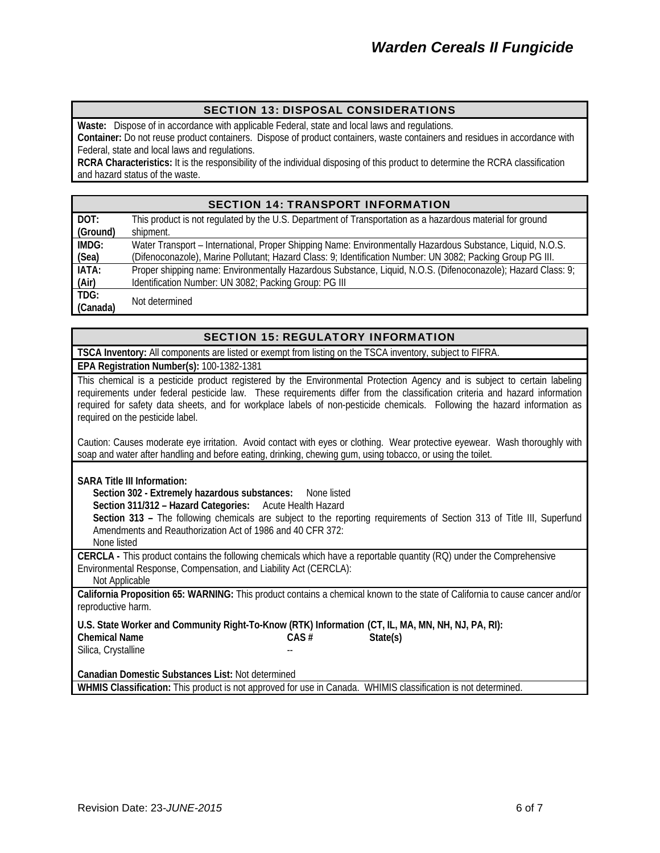### SECTION 13: DISPOSAL CONSIDERATIONS

**Waste:** Dispose of in accordance with applicable Federal, state and local laws and regulations. **Container:** Do not reuse product containers. Dispose of product containers, waste containers and residues in accordance with Federal, state and local laws and regulations.

**RCRA Characteristics:** It is the responsibility of the individual disposing of this product to determine the RCRA classification and hazard status of the waste.

#### SECTION 14: TRANSPORT INFORMATION

| DOT:     | This product is not regulated by the U.S. Department of Transportation as a hazardous material for ground    |
|----------|--------------------------------------------------------------------------------------------------------------|
| (Ground) | shipment.                                                                                                    |
| IMDG:    | Water Transport – International, Proper Shipping Name: Environmentally Hazardous Substance, Liquid, N.O.S.   |
| (Sea)    | (Difenoconazole), Marine Pollutant; Hazard Class: 9; Identification Number: UN 3082; Packing Group PG III.   |
| IATA:    | Proper shipping name: Environmentally Hazardous Substance, Liquid, N.O.S. (Difenoconazole); Hazard Class: 9; |
| (Air)    | Identification Number: UN 3082; Packing Group: PG III                                                        |
| TDG:     | Not determined                                                                                               |
| (Canada) |                                                                                                              |

#### SECTION 15: REGULATORY INFORMATION

**TSCA Inventory:** All components are listed or exempt from listing on the TSCA inventory, subject to FIFRA. **EPA Registration Number(s):** 100-1382-1381

This chemical is a pesticide product registered by the Environmental Protection Agency and is subject to certain labeling requirements under federal pesticide law. These requirements differ from the classification criteria and hazard information required for safety data sheets, and for workplace labels of non-pesticide chemicals. Following the hazard information as required on the pesticide label.

Caution: Causes moderate eye irritation. Avoid contact with eyes or clothing. Wear protective eyewear. Wash thoroughly with soap and water after handling and before eating, drinking, chewing gum, using tobacco, or using the toilet.

**SARA Title III Information:**

 **Section 302 - Extremely hazardous substances:** None listed

 **Section 311/312 – Hazard Categories:** Acute Health Hazard

 **Section 313 –** The following chemicals are subject to the reporting requirements of Section 313 of Title III, Superfund Amendments and Reauthorization Act of 1986 and 40 CFR 372:

None listed

**CERCLA -** This product contains the following chemicals which have a reportable quantity (RQ) under the Comprehensive Environmental Response, Compensation, and Liability Act (CERCLA):

Not Applicable

**California Proposition 65: WARNING:** This product contains a chemical known to the state of California to cause cancer and/or reproductive harm.

**U.S. State Worker and Community Right-To-Know (RTK) Information (CT, IL, MA, MN, NH, NJ, PA, RI): Chemical Name CAS # State(s)**  Silica, Crystalline

**Canadian Domestic Substances List:** Not determined

**WHMIS Classification:** This product is not approved for use in Canada. WHIMIS classification is not determined.